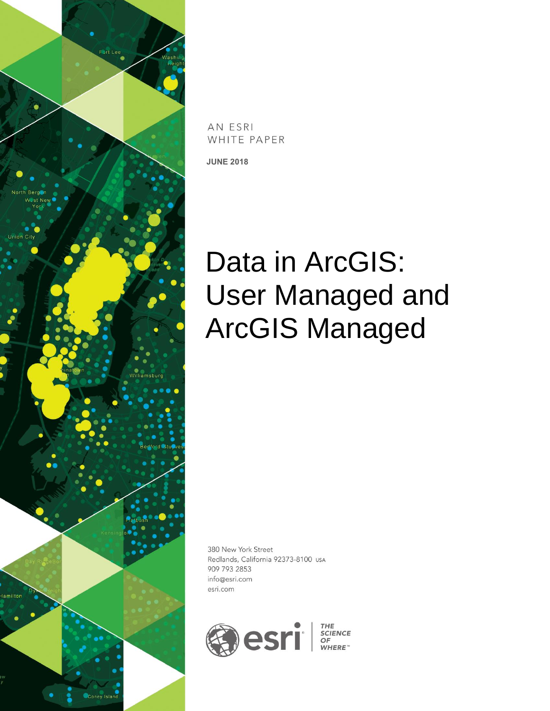

AN ESRI WHITE PAPER

**JUNE 2018**

# Data in ArcGIS: User Managed and ArcGIS Managed

380 New York Street Redlands, California 92373-8100 USA 909 793 2853 info@esri.com esri.com

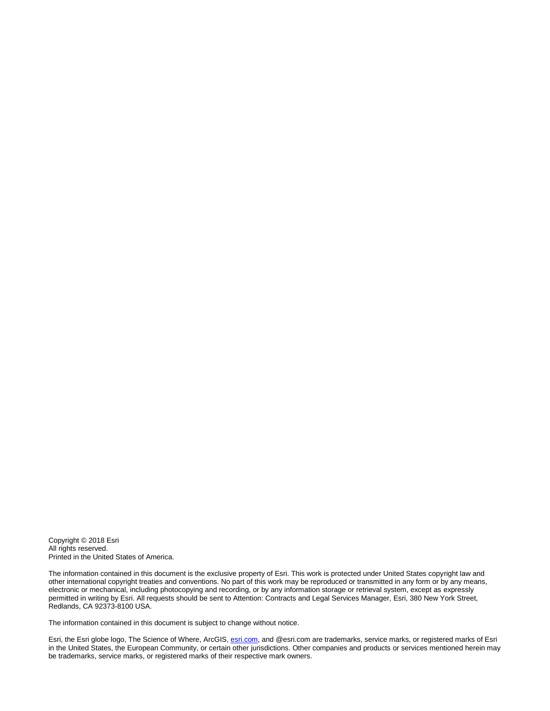Copyright © 2018 Esri All rights reserved. Printed in the United States of America.

The information contained in this document is the exclusive property of Esri. This work is protected under United States copyright law and other international copyright treaties and conventions. No part of this work may be reproduced or transmitted in any form or by any means, electronic or mechanical, including photocopying and recording, or by any information storage or retrieval system, except as expressly permitted in writing by Esri. All requests should be sent to Attention: Contracts and Legal Services Manager, Esri, 380 New York Street, Redlands, CA 92373-8100 USA.

The information contained in this document is subject to change without notice.

Esri, the Esri globe logo, The Science of Where, ArcGIS[, esri.com,](http://www.esri.com/) and @esri.com are trademarks, service marks, or registered marks of Esri in the United States, the European Community, or certain other jurisdictions. Other companies and products or services mentioned herein may be trademarks, service marks, or registered marks of their respective mark owners.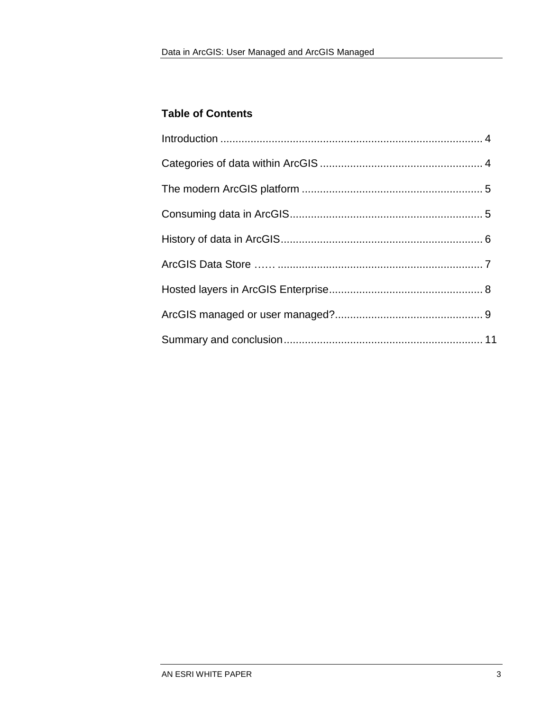#### **Table of Contents**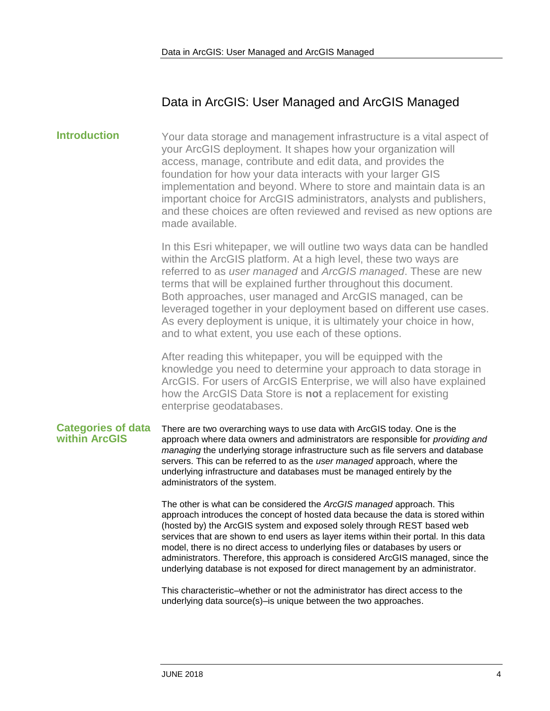### Data in ArcGIS: User Managed and ArcGIS Managed

<span id="page-3-0"></span>**Introduction** Your data storage and management infrastructure is a vital aspect of your ArcGIS deployment. It shapes how your organization will access, manage, contribute and edit data, and provides the foundation for how your data interacts with your larger GIS implementation and beyond. Where to store and maintain data is an important choice for ArcGIS administrators, analysts and publishers, and these choices are often reviewed and revised as new options are made available.

> In this Esri whitepaper, we will outline two ways data can be handled within the ArcGIS platform. At a high level, these two ways are referred to as *user managed* and *ArcGIS managed*. These are new terms that will be explained further throughout this document. Both approaches, user managed and ArcGIS managed, can be leveraged together in your deployment based on different use cases. As every deployment is unique, it is ultimately your choice in how, and to what extent, you use each of these options.

After reading this whitepaper, you will be equipped with the knowledge you need to determine your approach to data storage in ArcGIS. For users of ArcGIS Enterprise, we will also have explained how the ArcGIS Data Store is **not** a replacement for existing enterprise geodatabases.

#### <span id="page-3-1"></span>**Categories of data within ArcGIS** There are two overarching ways to use data with ArcGIS today. One is the approach where data owners and administrators are responsible for *providing and managing* the underlying storage infrastructure such as file servers and database servers. This can be referred to as the *user managed* approach, where the underlying infrastructure and databases must be managed entirely by the administrators of the system.

The other is what can be considered the *ArcGIS managed* approach. This approach introduces the concept of hosted data because the data is stored within (hosted by) the ArcGIS system and exposed solely through REST based web services that are shown to end users as layer items within their portal. In this data model, there is no direct access to underlying files or databases by users or administrators. Therefore, this approach is considered ArcGIS managed, since the underlying database is not exposed for direct management by an administrator.

This characteristic–whether or not the administrator has direct access to the underlying data source(s)–is unique between the two approaches.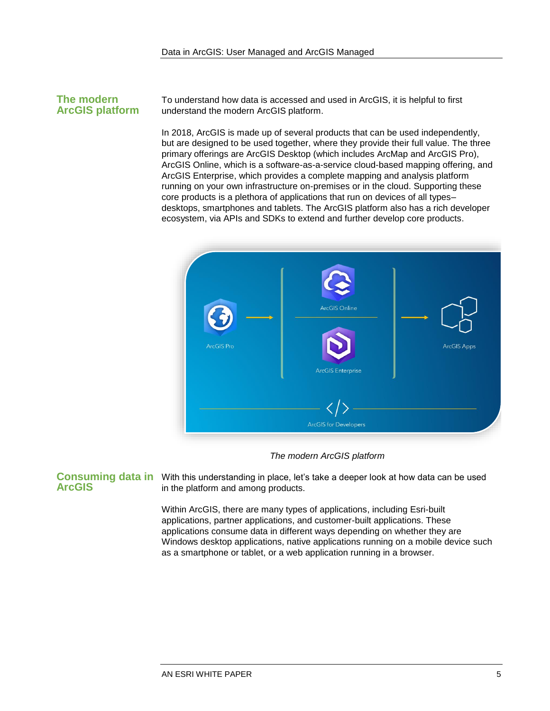#### <span id="page-4-0"></span>**The modern ArcGIS platform**

To understand how data is accessed and used in ArcGIS, it is helpful to first understand the modern ArcGIS platform.

In 2018, ArcGIS is made up of several products that can be used independently, but are designed to be used together, where they provide their full value. The three primary offerings are ArcGIS Desktop (which includes ArcMap and ArcGIS Pro), ArcGIS Online, which is a software-as-a-service cloud-based mapping offering, and ArcGIS Enterprise, which provides a complete mapping and analysis platform running on your own infrastructure on-premises or in the cloud. Supporting these core products is a plethora of applications that run on devices of all types– desktops, smartphones and tablets. The ArcGIS platform also has a rich developer ecosystem, via APIs and SDKs to extend and further develop core products.



*The modern ArcGIS platform*

## <span id="page-4-1"></span>**ArcGIS**

Consuming data in With this understanding in place, let's take a deeper look at how data can be used in the platform and among products.

> Within ArcGIS, there are many types of applications, including Esri-built applications, partner applications, and customer-built applications. These applications consume data in different ways depending on whether they are Windows desktop applications, native applications running on a mobile device such as a smartphone or tablet, or a web application running in a browser.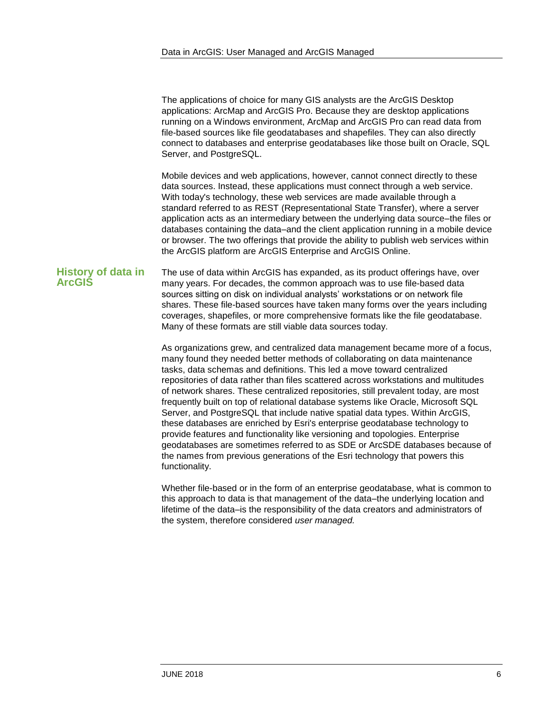The applications of choice for many GIS analysts are the ArcGIS Desktop applications: ArcMap and ArcGIS Pro. Because they are desktop applications running on a Windows environment, ArcMap and ArcGIS Pro can read data from file-based sources like file geodatabases and shapefiles. They can also directly connect to databases and enterprise geodatabases like those built on Oracle, SQL Server, and PostgreSQL.

Mobile devices and web applications, however, cannot connect directly to these data sources. Instead, these applications must connect through a web service. With today's technology, these web services are made available through a standard referred to as REST (Representational State Transfer), where a server application acts as an intermediary between the underlying data source–the files or databases containing the data–and the client application running in a mobile device or browser. The two offerings that provide the ability to publish web services within the ArcGIS platform are ArcGIS Enterprise and ArcGIS Online.

<span id="page-5-0"></span>**History of data in ArcGIS** The use of data within ArcGIS has expanded, as its product offerings have, over many years. For decades, the common approach was to use file-based data sources sitting on disk on individual analysts' workstations or on network file shares. These file-based sources have taken many forms over the years including coverages, shapefiles, or more comprehensive formats like the file geodatabase. Many of these formats are still viable data sources today.

> As organizations grew, and centralized data management became more of a focus, many found they needed better methods of collaborating on data maintenance tasks, data schemas and definitions. This led a move toward centralized repositories of data rather than files scattered across workstations and multitudes of network shares. These centralized repositories, still prevalent today, are most frequently built on top of relational database systems like Oracle, Microsoft SQL Server, and PostgreSQL that include native spatial data types. Within ArcGIS, these databases are enriched by Esri's enterprise geodatabase technology to provide features and functionality like versioning and topologies. Enterprise geodatabases are sometimes referred to as SDE or ArcSDE databases because of the names from previous generations of the Esri technology that powers this functionality.

> Whether file-based or in the form of an enterprise geodatabase, what is common to this approach to data is that management of the data–the underlying location and lifetime of the data–is the responsibility of the data creators and administrators of the system, therefore considered *user managed.*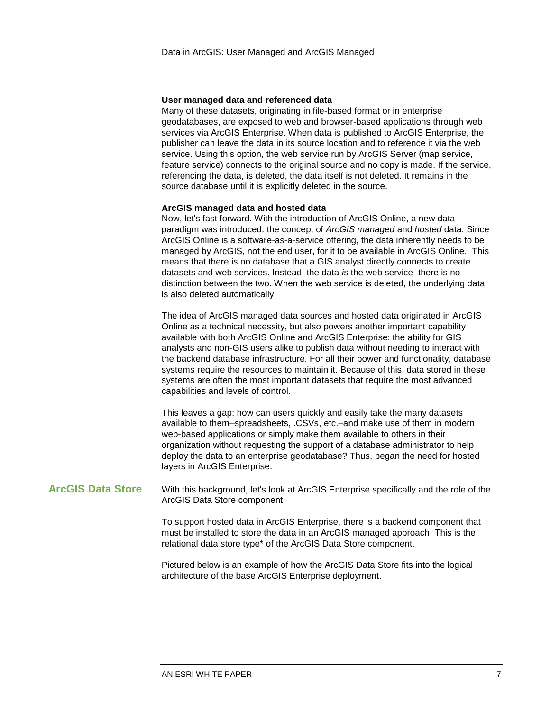#### **User managed data and referenced data**

Many of these datasets, originating in file-based format or in enterprise geodatabases, are exposed to web and browser-based applications through web services via ArcGIS Enterprise. When data is published to ArcGIS Enterprise, the publisher can leave the data in its source location and to reference it via the web service. Using this option, the web service run by ArcGIS Server (map service, feature service) connects to the original source and no copy is made. If the service, referencing the data, is deleted, the data itself is not deleted. It remains in the source database until it is explicitly deleted in the source.

#### **ArcGIS managed data and hosted data**

Now, let's fast forward. With the introduction of ArcGIS Online, a new data paradigm was introduced: the concept of *ArcGIS managed* and *hosted* data. Since ArcGIS Online is a software-as-a-service offering, the data inherently needs to be managed by ArcGIS, not the end user, for it to be available in ArcGIS Online. This means that there is no database that a GIS analyst directly connects to create datasets and web services. Instead, the data *is* the web service–there is no distinction between the two. When the web service is deleted, the underlying data is also deleted automatically.

The idea of ArcGIS managed data sources and hosted data originated in ArcGIS Online as a technical necessity, but also powers another important capability available with both ArcGIS Online and ArcGIS Enterprise: the ability for GIS analysts and non-GIS users alike to publish data without needing to interact with the backend database infrastructure. For all their power and functionality, database systems require the resources to maintain it. Because of this, data stored in these systems are often the most important datasets that require the most advanced capabilities and levels of control.

This leaves a gap: how can users quickly and easily take the many datasets available to them–spreadsheets, .CSVs, etc.–and make use of them in modern web-based applications or simply make them available to others in their organization without requesting the support of a database administrator to help deploy the data to an enterprise geodatabase? Thus, began the need for hosted layers in ArcGIS Enterprise.

#### <span id="page-6-0"></span>**ArcGIS Data Store** With this background, let's look at ArcGIS Enterprise specifically and the role of the ArcGIS Data Store component.

To support hosted data in ArcGIS Enterprise, there is a backend component that must be installed to store the data in an ArcGIS managed approach. This is the relational data store type\* of the ArcGIS Data Store component.

Pictured below is an example of how the ArcGIS Data Store fits into the logical architecture of the base ArcGIS Enterprise deployment.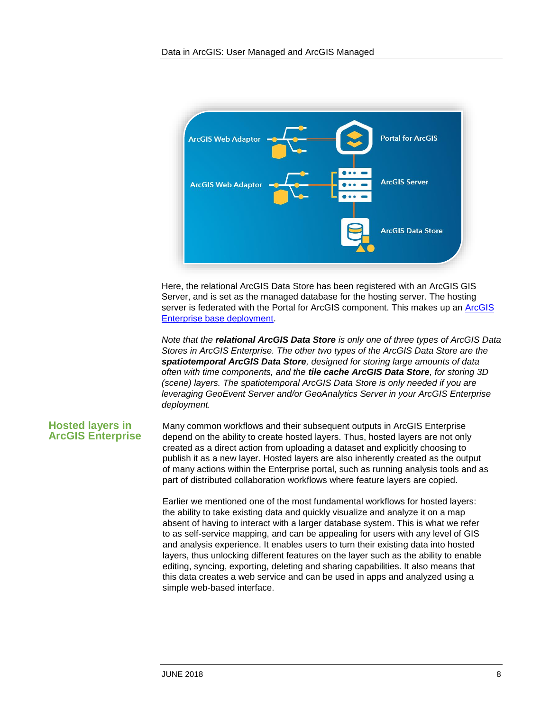

Here, the relational ArcGIS Data Store has been registered with an ArcGIS GIS Server, and is set as the managed database for the hosting server. The hosting server is federated with the Portal for ArcGIS component. This makes up an [ArcGIS](https://enterprise.arcgis.com/en/get-started/latest/windows/base-arcgis-enterprise-deployment.htm)  [Enterprise base deployment.](https://enterprise.arcgis.com/en/get-started/latest/windows/base-arcgis-enterprise-deployment.htm)

*Note that the relational ArcGIS Data Store is only one of three types of ArcGIS Data Stores in ArcGIS Enterprise. The other two types of the ArcGIS Data Store are the spatiotemporal ArcGIS Data Store, designed for storing large amounts of data often with time components, and the tile cache ArcGIS Data Store, for storing 3D (scene) layers. The spatiotemporal ArcGIS Data Store is only needed if you are leveraging GeoEvent Server and/or GeoAnalytics Server in your ArcGIS Enterprise deployment.*

#### <span id="page-7-0"></span>**Hosted layers in ArcGIS Enterprise**

Many common workflows and their subsequent outputs in ArcGIS Enterprise depend on the ability to create hosted layers. Thus, hosted layers are not only created as a direct action from uploading a dataset and explicitly choosing to publish it as a new layer. Hosted layers are also inherently created as the output of many actions within the Enterprise portal, such as running analysis tools and as part of distributed collaboration workflows where feature layers are copied.

Earlier we mentioned one of the most fundamental workflows for hosted layers: the ability to take existing data and quickly visualize and analyze it on a map absent of having to interact with a larger database system. This is what we refer to as self-service mapping, and can be appealing for users with any level of GIS and analysis experience. It enables users to turn their existing data into hosted layers, thus unlocking different features on the layer such as the ability to enable editing, syncing, exporting, deleting and sharing capabilities. It also means that this data creates a web service and can be used in apps and analyzed using a simple web-based interface.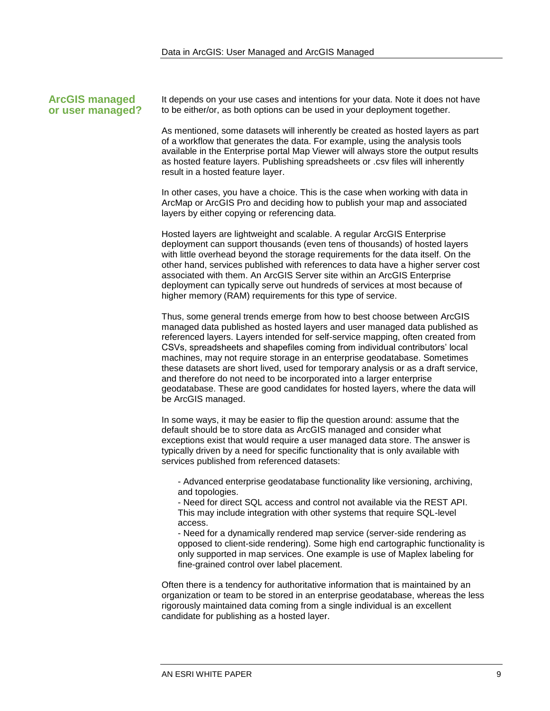#### <span id="page-8-0"></span>**ArcGIS managed or user managed?**

It depends on your use cases and intentions for your data. Note it does not have to be either/or, as both options can be used in your deployment together.

As mentioned, some datasets will inherently be created as hosted layers as part of a workflow that generates the data. For example, using the analysis tools available in the Enterprise portal Map Viewer will always store the output results as hosted feature layers. Publishing spreadsheets or .csv files will inherently result in a hosted feature layer.

In other cases, you have a choice. This is the case when working with data in ArcMap or ArcGIS Pro and deciding how to publish your map and associated layers by either copying or referencing data.

Hosted layers are lightweight and scalable. A regular ArcGIS Enterprise deployment can support thousands (even tens of thousands) of hosted layers with little overhead beyond the storage requirements for the data itself. On the other hand, services published with references to data have a higher server cost associated with them. An ArcGIS Server site within an ArcGIS Enterprise deployment can typically serve out hundreds of services at most because of higher memory (RAM) requirements for this type of service.

Thus, some general trends emerge from how to best choose between ArcGIS managed data published as hosted layers and user managed data published as referenced layers. Layers intended for self-service mapping, often created from CSVs, spreadsheets and shapefiles coming from individual contributors' local machines, may not require storage in an enterprise geodatabase. Sometimes these datasets are short lived, used for temporary analysis or as a draft service, and therefore do not need to be incorporated into a larger enterprise geodatabase. These are good candidates for hosted layers, where the data will be ArcGIS managed.

In some ways, it may be easier to flip the question around: assume that the default should be to store data as ArcGIS managed and consider what exceptions exist that would require a user managed data store. The answer is typically driven by a need for specific functionality that is only available with services published from referenced datasets:

- Advanced enterprise geodatabase functionality like versioning, archiving, and topologies.

- Need for direct SQL access and control not available via the REST API. This may include integration with other systems that require SQL-level access.

- Need for a dynamically rendered map service (server-side rendering as opposed to client-side rendering). Some high end cartographic functionality is only supported in map services. One example is use of Maplex labeling for fine-grained control over label placement.

Often there is a tendency for authoritative information that is maintained by an organization or team to be stored in an enterprise geodatabase, whereas the less rigorously maintained data coming from a single individual is an excellent candidate for publishing as a hosted layer.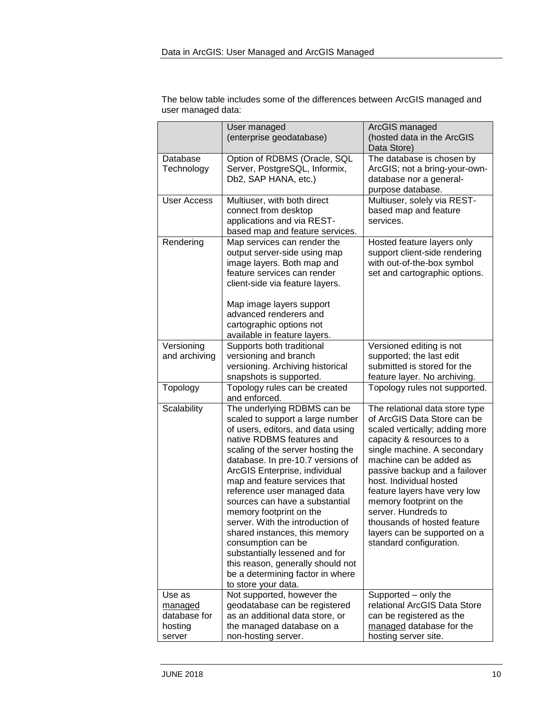| The below table includes some of the differences between ArcGIS managed and |
|-----------------------------------------------------------------------------|
| user managed data:                                                          |

|                                                        | User managed                                                                                                                                                                                                                                                                                                                                                                                                                                                                                                                                                                                           | ArcGIS managed                                                                                                                                                                                                                                                                                                                                                                                                                 |
|--------------------------------------------------------|--------------------------------------------------------------------------------------------------------------------------------------------------------------------------------------------------------------------------------------------------------------------------------------------------------------------------------------------------------------------------------------------------------------------------------------------------------------------------------------------------------------------------------------------------------------------------------------------------------|--------------------------------------------------------------------------------------------------------------------------------------------------------------------------------------------------------------------------------------------------------------------------------------------------------------------------------------------------------------------------------------------------------------------------------|
|                                                        | (enterprise geodatabase)                                                                                                                                                                                                                                                                                                                                                                                                                                                                                                                                                                               | (hosted data in the ArcGIS<br>Data Store)                                                                                                                                                                                                                                                                                                                                                                                      |
| Database<br>Technology                                 | Option of RDBMS (Oracle, SQL<br>Server, PostgreSQL, Informix,<br>Db2, SAP HANA, etc.)                                                                                                                                                                                                                                                                                                                                                                                                                                                                                                                  | The database is chosen by<br>ArcGIS; not a bring-your-own-<br>database nor a general-<br>purpose database.                                                                                                                                                                                                                                                                                                                     |
| <b>User Access</b>                                     | Multiuser, with both direct<br>connect from desktop<br>applications and via REST-<br>based map and feature services.                                                                                                                                                                                                                                                                                                                                                                                                                                                                                   | Multiuser, solely via REST-<br>based map and feature<br>services.                                                                                                                                                                                                                                                                                                                                                              |
| Rendering                                              | Map services can render the<br>output server-side using map<br>image layers. Both map and<br>feature services can render<br>client-side via feature layers.<br>Map image layers support<br>advanced renderers and<br>cartographic options not<br>available in feature layers.                                                                                                                                                                                                                                                                                                                          | Hosted feature layers only<br>support client-side rendering<br>with out-of-the-box symbol<br>set and cartographic options.                                                                                                                                                                                                                                                                                                     |
| Versioning<br>and archiving                            | Supports both traditional<br>versioning and branch<br>versioning. Archiving historical<br>snapshots is supported.                                                                                                                                                                                                                                                                                                                                                                                                                                                                                      | Versioned editing is not<br>supported; the last edit<br>submitted is stored for the<br>feature layer. No archiving.                                                                                                                                                                                                                                                                                                            |
| Topology                                               | Topology rules can be created<br>and enforced.                                                                                                                                                                                                                                                                                                                                                                                                                                                                                                                                                         | Topology rules not supported.                                                                                                                                                                                                                                                                                                                                                                                                  |
| Scalability                                            | The underlying RDBMS can be<br>scaled to support a large number<br>of users, editors, and data using<br>native RDBMS features and<br>scaling of the server hosting the<br>database. In pre-10.7 versions of<br>ArcGIS Enterprise, individual<br>map and feature services that<br>reference user managed data<br>sources can have a substantial<br>memory footprint on the<br>server. With the introduction of<br>shared instances, this memory<br>consumption can be<br>substantially lessened and for<br>this reason, generally should not<br>be a determining factor in where<br>to store your data. | The relational data store type<br>of ArcGIS Data Store can be<br>scaled vertically; adding more<br>capacity & resources to a<br>single machine. A secondary<br>machine can be added as<br>passive backup and a failover<br>host. Individual hosted<br>feature layers have very low<br>memory footprint on the<br>server. Hundreds to<br>thousands of hosted feature<br>layers can be supported on a<br>standard configuration. |
| Use as<br>managed<br>database for<br>hosting<br>server | Not supported, however the<br>geodatabase can be registered<br>as an additional data store, or<br>the managed database on a<br>non-hosting server.                                                                                                                                                                                                                                                                                                                                                                                                                                                     | Supported - only the<br>relational ArcGIS Data Store<br>can be registered as the<br>managed database for the<br>hosting server site.                                                                                                                                                                                                                                                                                           |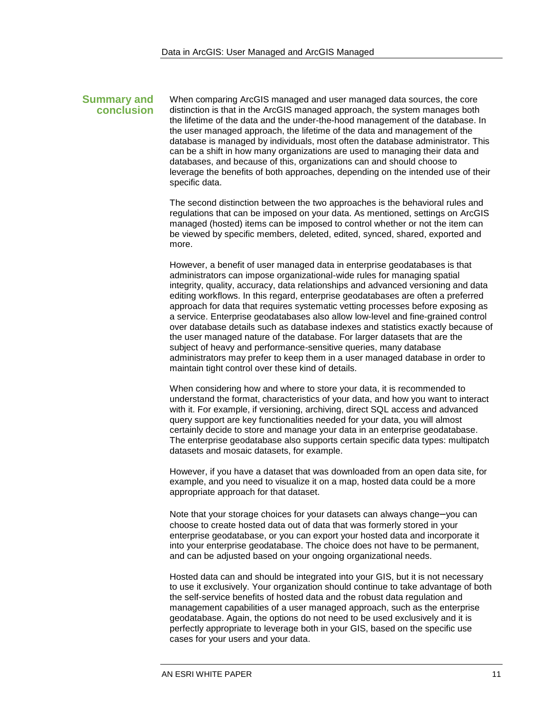#### <span id="page-10-0"></span>**Summary and conclusion**

When comparing ArcGIS managed and user managed data sources, the core distinction is that in the ArcGIS managed approach, the system manages both the lifetime of the data and the under-the-hood management of the database. In the user managed approach, the lifetime of the data and management of the database is managed by individuals, most often the database administrator. This can be a shift in how many organizations are used to managing their data and databases, and because of this, organizations can and should choose to leverage the benefits of both approaches, depending on the intended use of their specific data.

The second distinction between the two approaches is the behavioral rules and regulations that can be imposed on your data. As mentioned, settings on ArcGIS managed (hosted) items can be imposed to control whether or not the item can be viewed by specific members, deleted, edited, synced, shared, exported and more.

However, a benefit of user managed data in enterprise geodatabases is that administrators can impose organizational-wide rules for managing spatial integrity, quality, accuracy, data relationships and advanced versioning and data editing workflows. In this regard, enterprise geodatabases are often a preferred approach for data that requires systematic vetting processes before exposing as a service. Enterprise geodatabases also allow low-level and fine-grained control over database details such as database indexes and statistics exactly because of the user managed nature of the database. For larger datasets that are the subject of heavy and performance-sensitive queries, many database administrators may prefer to keep them in a user managed database in order to maintain tight control over these kind of details.

When considering how and where to store your data, it is recommended to understand the format, characteristics of your data, and how you want to interact with it. For example, if versioning, archiving, direct SQL access and advanced query support are key functionalities needed for your data, you will almost certainly decide to store and manage your data in an enterprise geodatabase. The enterprise geodatabase also supports certain specific data types: multipatch datasets and mosaic datasets, for example.

However, if you have a dataset that was downloaded from an open data site, for example, and you need to visualize it on a map, hosted data could be a more appropriate approach for that dataset.

Note that your storage choices for your datasets can always change–you can choose to create hosted data out of data that was formerly stored in your enterprise geodatabase, or you can export your hosted data and incorporate it into your enterprise geodatabase. The choice does not have to be permanent, and can be adjusted based on your ongoing organizational needs.

Hosted data can and should be integrated into your GIS, but it is not necessary to use it exclusively. Your organization should continue to take advantage of both the self-service benefits of hosted data and the robust data regulation and management capabilities of a user managed approach, such as the enterprise geodatabase. Again, the options do not need to be used exclusively and it is perfectly appropriate to leverage both in your GIS, based on the specific use cases for your users and your data.